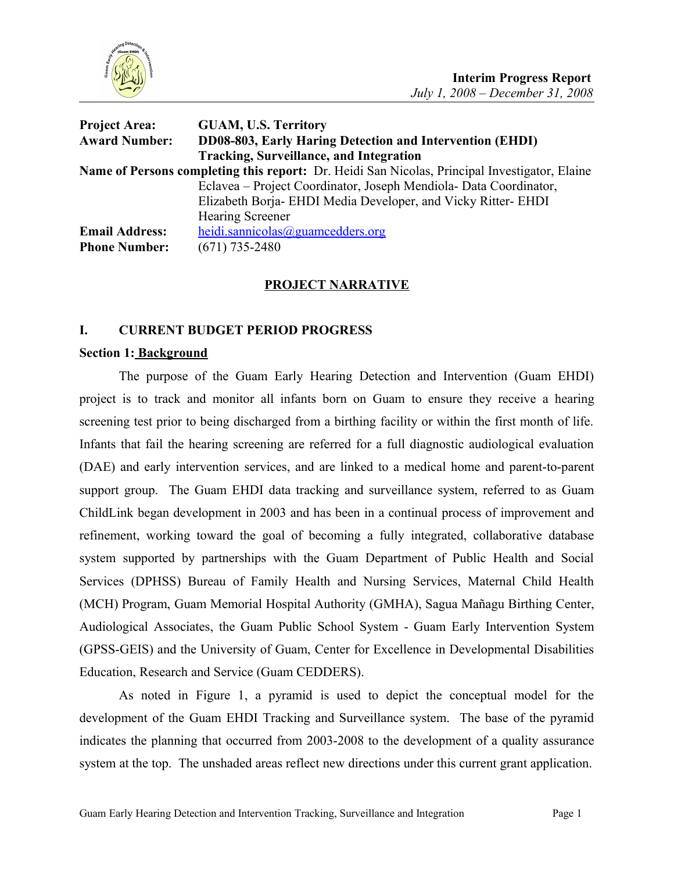

| <b>Project Area:</b>                                                                          | <b>GUAM, U.S. Territory</b>                                       |  |  |
|-----------------------------------------------------------------------------------------------|-------------------------------------------------------------------|--|--|
| <b>Award Number:</b>                                                                          | DD08-803, Early Haring Detection and Intervention (EHDI)          |  |  |
|                                                                                               | Tracking, Surveillance, and Integration                           |  |  |
| Name of Persons completing this report: Dr. Heidi San Nicolas, Principal Investigator, Elaine |                                                                   |  |  |
|                                                                                               | Eclavea – Project Coordinator, Joseph Mendiola- Data Coordinator, |  |  |
|                                                                                               | Elizabeth Borja- EHDI Media Developer, and Vicky Ritter- EHDI     |  |  |
|                                                                                               | <b>Hearing Screener</b>                                           |  |  |
| <b>Email Address:</b>                                                                         | heidi.sannicolas@guamcedders.org                                  |  |  |
| <b>Phone Number:</b>                                                                          | $(671)$ 735-2480                                                  |  |  |

## **PROJECT NARRATIVE**

## **I. CURRENT BUDGET PERIOD PROGRESS**

#### **Section 1: Background**

The purpose of the Guam Early Hearing Detection and Intervention (Guam EHDI) project is to track and monitor all infants born on Guam to ensure they receive a hearing screening test prior to being discharged from a birthing facility or within the first month of life. Infants that fail the hearing screening are referred for a full diagnostic audiological evaluation (DAE) and early intervention services, and are linked to a medical home and parent-to-parent support group. The Guam EHDI data tracking and surveillance system, referred to as Guam ChildLink began development in 2003 and has been in a continual process of improvement and refinement, working toward the goal of becoming a fully integrated, collaborative database system supported by partnerships with the Guam Department of Public Health and Social Services (DPHSS) Bureau of Family Health and Nursing Services, Maternal Child Health (MCH) Program, Guam Memorial Hospital Authority (GMHA), Sagua Mañagu Birthing Center, Audiological Associates, the Guam Public School System - Guam Early Intervention System (GPSS-GEIS) and the University of Guam, Center for Excellence in Developmental Disabilities Education, Research and Service (Guam CEDDERS).

As noted in Figure 1, a pyramid is used to depict the conceptual model for the development of the Guam EHDI Tracking and Surveillance system. The base of the pyramid indicates the planning that occurred from 2003-2008 to the development of a quality assurance system at the top. The unshaded areas reflect new directions under this current grant application.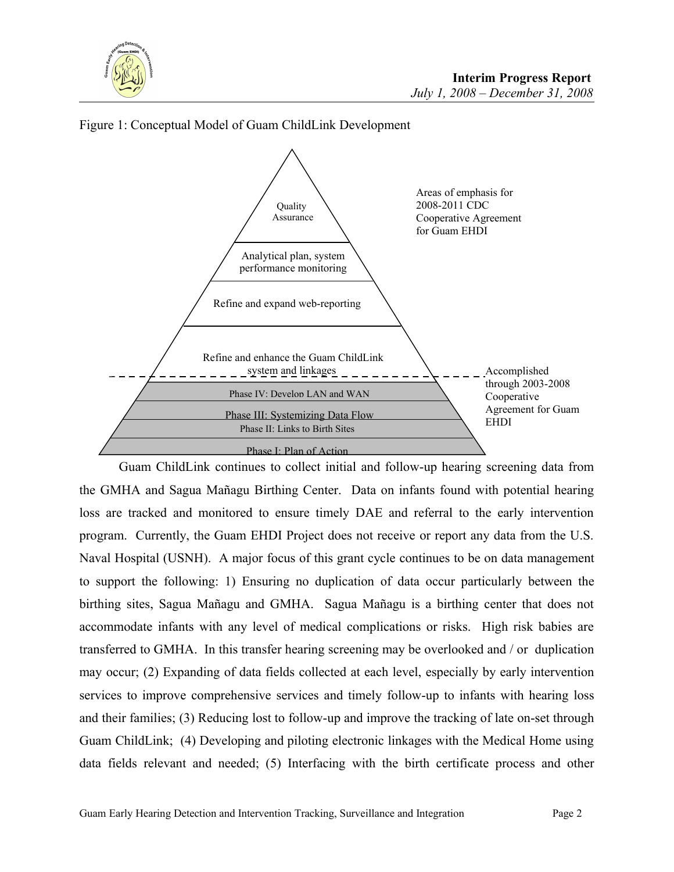



#### Figure 1: Conceptual Model of Guam ChildLink Development

Guam ChildLink continues to collect initial and follow-up hearing screening data from the GMHA and Sagua Mañagu Birthing Center. Data on infants found with potential hearing loss are tracked and monitored to ensure timely DAE and referral to the early intervention program. Currently, the Guam EHDI Project does not receive or report any data from the U.S. Naval Hospital (USNH). A major focus of this grant cycle continues to be on data management to support the following: 1) Ensuring no duplication of data occur particularly between the birthing sites, Sagua Mañagu and GMHA. Sagua Mañagu is a birthing center that does not accommodate infants with any level of medical complications or risks. High risk babies are transferred to GMHA. In this transfer hearing screening may be overlooked and / or duplication may occur; (2) Expanding of data fields collected at each level, especially by early intervention services to improve comprehensive services and timely follow-up to infants with hearing loss and their families; (3) Reducing lost to follow-up and improve the tracking of late on-set through Guam ChildLink; (4) Developing and piloting electronic linkages with the Medical Home using data fields relevant and needed; (5) Interfacing with the birth certificate process and other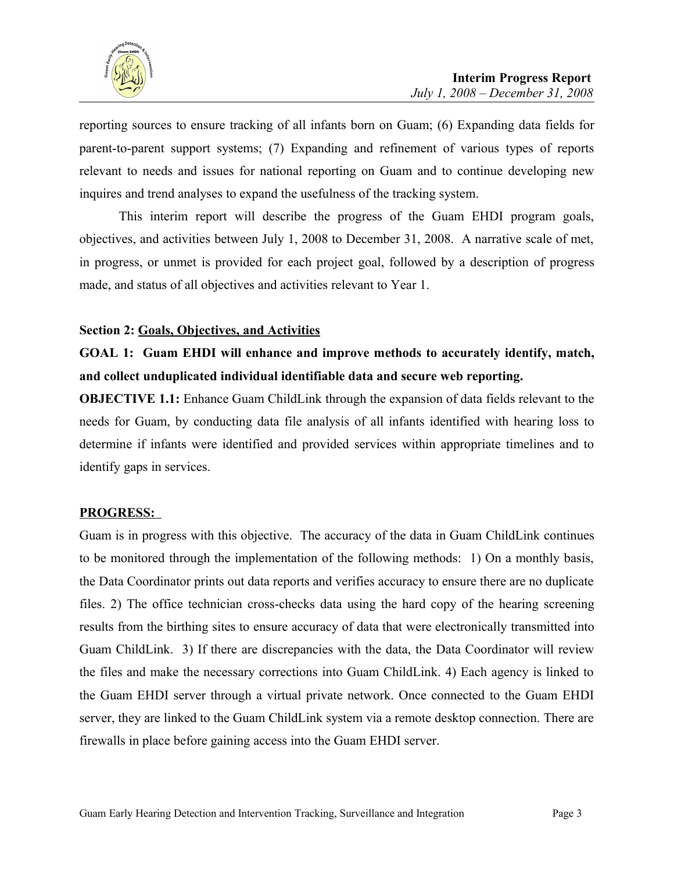

reporting sources to ensure tracking of all infants born on Guam; (6) Expanding data fields for parent-to-parent support systems; (7) Expanding and refinement of various types of reports relevant to needs and issues for national reporting on Guam and to continue developing new inquires and trend analyses to expand the usefulness of the tracking system.

This interim report will describe the progress of the Guam EHDI program goals, objectives, and activities between July 1, 2008 to December 31, 2008. A narrative scale of met, in progress, or unmet is provided for each project goal, followed by a description of progress made, and status of all objectives and activities relevant to Year 1.

#### **Section 2: Goals, Objectives, and Activities**

# **GOAL 1: Guam EHDI will enhance and improve methods to accurately identify, match, and collect unduplicated individual identifiable data and secure web reporting.**

**OBJECTIVE 1.1:** Enhance Guam ChildLink through the expansion of data fields relevant to the needs for Guam, by conducting data file analysis of all infants identified with hearing loss to determine if infants were identified and provided services within appropriate timelines and to identify gaps in services.

## **PROGRESS:**

Guam is in progress with this objective. The accuracy of the data in Guam ChildLink continues to be monitored through the implementation of the following methods: 1) On a monthly basis, the Data Coordinator prints out data reports and verifies accuracy to ensure there are no duplicate files. 2) The office technician cross-checks data using the hard copy of the hearing screening results from the birthing sites to ensure accuracy of data that were electronically transmitted into Guam ChildLink. 3) If there are discrepancies with the data, the Data Coordinator will review the files and make the necessary corrections into Guam ChildLink. 4) Each agency is linked to the Guam EHDI server through a virtual private network. Once connected to the Guam EHDI server, they are linked to the Guam ChildLink system via a remote desktop connection. There are firewalls in place before gaining access into the Guam EHDI server.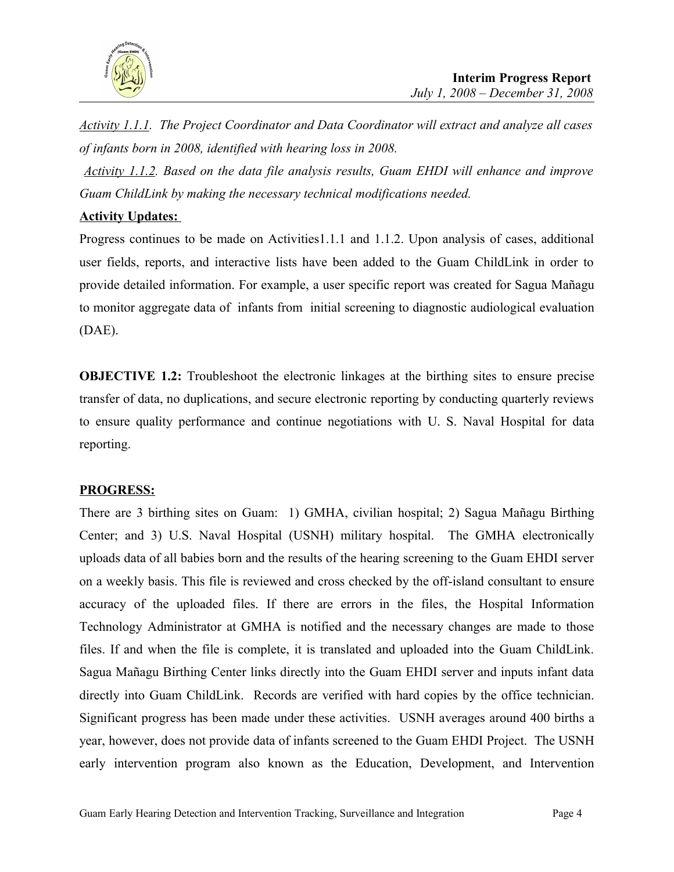

*Activity 1.1.1. The Project Coordinator and Data Coordinator will extract and analyze all cases of infants born in 2008, identified with hearing loss in 2008.* 

*Activity 1.1.2. Based on the data file analysis results, Guam EHDI will enhance and improve Guam ChildLink by making the necessary technical modifications needed.*

## **Activity Updates:**

Progress continues to be made on Activities1.1.1 and 1.1.2. Upon analysis of cases, additional user fields, reports, and interactive lists have been added to the Guam ChildLink in order to provide detailed information. For example, a user specific report was created for Sagua Mañagu to monitor aggregate data of infants from initial screening to diagnostic audiological evaluation (DAE).

**OBJECTIVE 1.2:** Troubleshoot the electronic linkages at the birthing sites to ensure precise transfer of data, no duplications, and secure electronic reporting by conducting quarterly reviews to ensure quality performance and continue negotiations with U. S. Naval Hospital for data reporting.

## **PROGRESS:**

There are 3 birthing sites on Guam: 1) GMHA, civilian hospital; 2) Sagua Mañagu Birthing Center; and 3) U.S. Naval Hospital (USNH) military hospital. The GMHA electronically uploads data of all babies born and the results of the hearing screening to the Guam EHDI server on a weekly basis. This file is reviewed and cross checked by the off-island consultant to ensure accuracy of the uploaded files. If there are errors in the files, the Hospital Information Technology Administrator at GMHA is notified and the necessary changes are made to those files. If and when the file is complete, it is translated and uploaded into the Guam ChildLink. Sagua Mañagu Birthing Center links directly into the Guam EHDI server and inputs infant data directly into Guam ChildLink. Records are verified with hard copies by the office technician. Significant progress has been made under these activities. USNH averages around 400 births a year, however, does not provide data of infants screened to the Guam EHDI Project. The USNH early intervention program also known as the Education, Development, and Intervention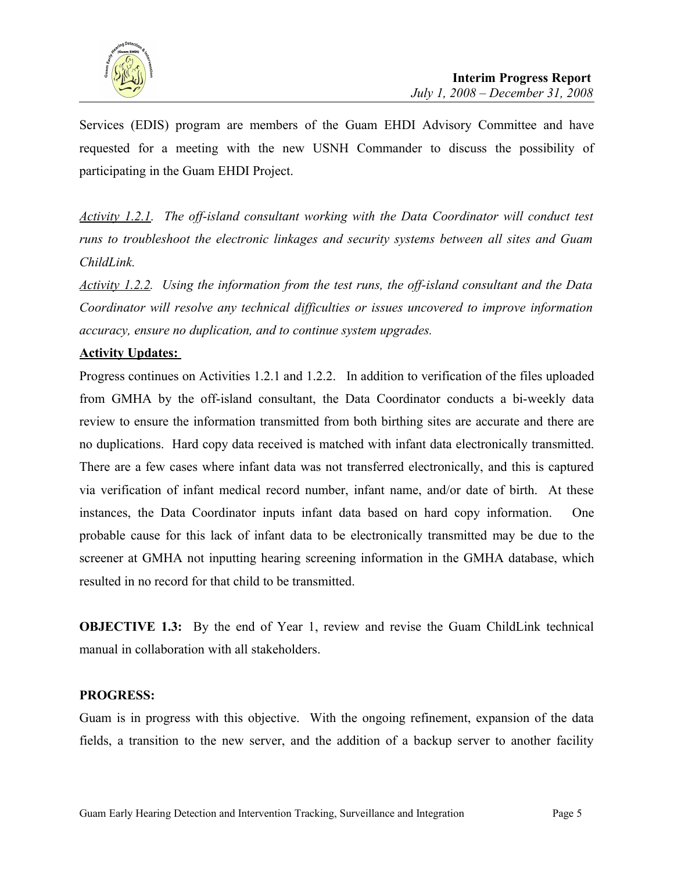

Services (EDIS) program are members of the Guam EHDI Advisory Committee and have requested for a meeting with the new USNH Commander to discuss the possibility of participating in the Guam EHDI Project.

*Activity 1.2.1. The off-island consultant working with the Data Coordinator will conduct test runs to troubleshoot the electronic linkages and security systems between all sites and Guam ChildLink.* 

*Activity 1.2.2. Using the information from the test runs, the off-island consultant and the Data Coordinator will resolve any technical difficulties or issues uncovered to improve information accuracy, ensure no duplication, and to continue system upgrades.* 

## **Activity Updates:**

Progress continues on Activities 1.2.1 and 1.2.2. In addition to verification of the files uploaded from GMHA by the off-island consultant, the Data Coordinator conducts a bi-weekly data review to ensure the information transmitted from both birthing sites are accurate and there are no duplications. Hard copy data received is matched with infant data electronically transmitted. There are a few cases where infant data was not transferred electronically, and this is captured via verification of infant medical record number, infant name, and/or date of birth. At these instances, the Data Coordinator inputs infant data based on hard copy information. One probable cause for this lack of infant data to be electronically transmitted may be due to the screener at GMHA not inputting hearing screening information in the GMHA database, which resulted in no record for that child to be transmitted.

**OBJECTIVE 1.3:** By the end of Year 1, review and revise the Guam ChildLink technical manual in collaboration with all stakeholders.

#### **PROGRESS:**

Guam is in progress with this objective. With the ongoing refinement, expansion of the data fields, a transition to the new server, and the addition of a backup server to another facility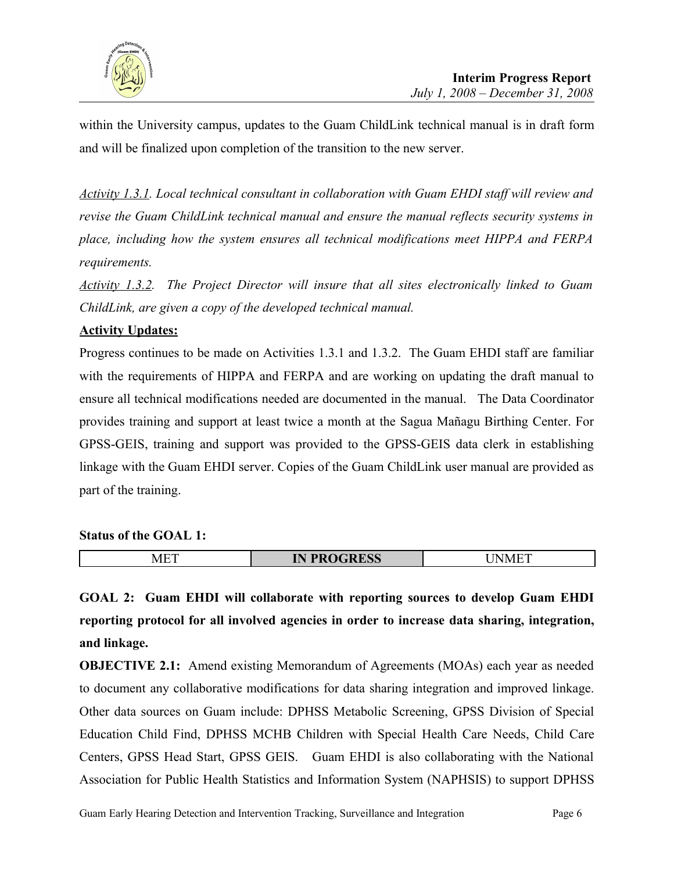

within the University campus, updates to the Guam ChildLink technical manual is in draft form and will be finalized upon completion of the transition to the new server.

*Activity 1.3.1. Local technical consultant in collaboration with Guam EHDI staff will review and revise the Guam ChildLink technical manual and ensure the manual reflects security systems in place, including how the system ensures all technical modifications meet HIPPA and FERPA requirements.* 

*Activity 1.3.2. The Project Director will insure that all sites electronically linked to Guam ChildLink, are given a copy of the developed technical manual.*

## **Activity Updates:**

Progress continues to be made on Activities 1.3.1 and 1.3.2. The Guam EHDI staff are familiar with the requirements of HIPPA and FERPA and are working on updating the draft manual to ensure all technical modifications needed are documented in the manual. The Data Coordinator provides training and support at least twice a month at the Sagua Mañagu Birthing Center. For GPSS-GEIS, training and support was provided to the GPSS-GEIS data clerk in establishing linkage with the Guam EHDI server. Copies of the Guam ChildLink user manual are provided as part of the training.

#### **Status of the GOAL 1:**

| $\sim$ $\sim$<br>$\mathbf{v}$<br>- | $\bf D\bf D\bf \Omega$<br>ſΝ<br>- N<br><b>UUD</b><br>---- | . |
|------------------------------------|-----------------------------------------------------------|---|

**GOAL 2: Guam EHDI will collaborate with reporting sources to develop Guam EHDI reporting protocol for all involved agencies in order to increase data sharing, integration, and linkage.**

**OBJECTIVE 2.1:** Amend existing Memorandum of Agreements (MOAs) each year as needed to document any collaborative modifications for data sharing integration and improved linkage. Other data sources on Guam include: DPHSS Metabolic Screening, GPSS Division of Special Education Child Find, DPHSS MCHB Children with Special Health Care Needs, Child Care Centers, GPSS Head Start, GPSS GEIS. Guam EHDI is also collaborating with the National Association for Public Health Statistics and Information System (NAPHSIS) to support DPHSS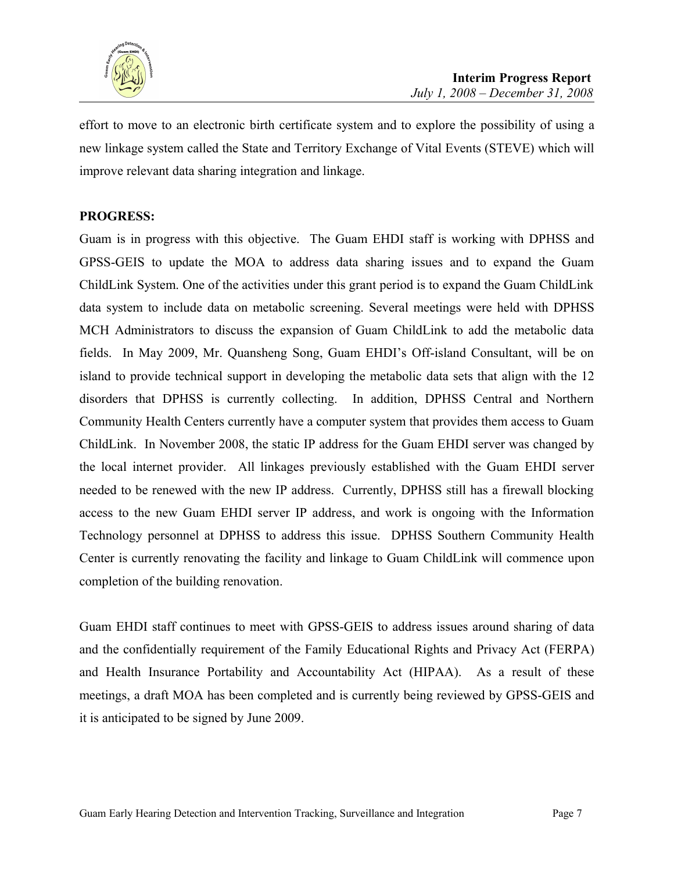

effort to move to an electronic birth certificate system and to explore the possibility of using a new linkage system called the State and Territory Exchange of Vital Events (STEVE) which will improve relevant data sharing integration and linkage.

#### **PROGRESS:**

Guam is in progress with this objective. The Guam EHDI staff is working with DPHSS and GPSS-GEIS to update the MOA to address data sharing issues and to expand the Guam ChildLink System. One of the activities under this grant period is to expand the Guam ChildLink data system to include data on metabolic screening. Several meetings were held with DPHSS MCH Administrators to discuss the expansion of Guam ChildLink to add the metabolic data fields. In May 2009, Mr. Quansheng Song, Guam EHDI's Off-island Consultant, will be on island to provide technical support in developing the metabolic data sets that align with the 12 disorders that DPHSS is currently collecting. In addition, DPHSS Central and Northern Community Health Centers currently have a computer system that provides them access to Guam ChildLink. In November 2008, the static IP address for the Guam EHDI server was changed by the local internet provider. All linkages previously established with the Guam EHDI server needed to be renewed with the new IP address. Currently, DPHSS still has a firewall blocking access to the new Guam EHDI server IP address, and work is ongoing with the Information Technology personnel at DPHSS to address this issue. DPHSS Southern Community Health Center is currently renovating the facility and linkage to Guam ChildLink will commence upon completion of the building renovation.

Guam EHDI staff continues to meet with GPSS-GEIS to address issues around sharing of data and the confidentially requirement of the Family Educational Rights and Privacy Act (FERPA) and Health Insurance Portability and Accountability Act (HIPAA). As a result of these meetings, a draft MOA has been completed and is currently being reviewed by GPSS-GEIS and it is anticipated to be signed by June 2009.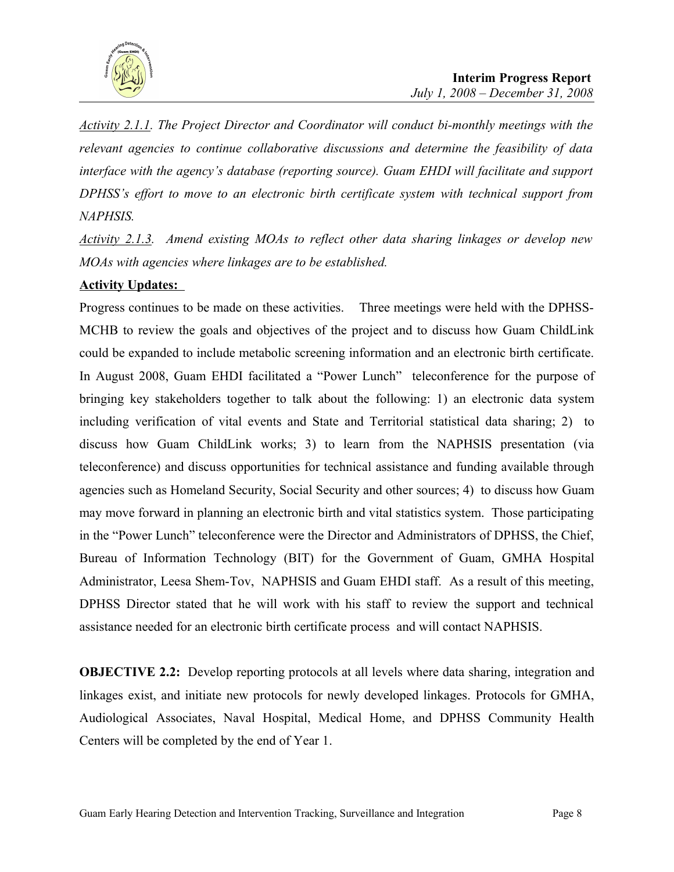

*Activity 2.1.1. The Project Director and Coordinator will conduct bi-monthly meetings with the relevant agencies to continue collaborative discussions and determine the feasibility of data interface with the agency's database (reporting source). Guam EHDI will facilitate and support DPHSS's effort to move to an electronic birth certificate system with technical support from NAPHSIS.* 

*Activity 2.1.3. Amend existing MOAs to reflect other data sharing linkages or develop new MOAs with agencies where linkages are to be established.*

# **Activity Updates:**

Progress continues to be made on these activities. Three meetings were held with the DPHSS-MCHB to review the goals and objectives of the project and to discuss how Guam ChildLink could be expanded to include metabolic screening information and an electronic birth certificate. In August 2008, Guam EHDI facilitated a "Power Lunch" teleconference for the purpose of bringing key stakeholders together to talk about the following: 1) an electronic data system including verification of vital events and State and Territorial statistical data sharing; 2) to discuss how Guam ChildLink works; 3) to learn from the NAPHSIS presentation (via teleconference) and discuss opportunities for technical assistance and funding available through agencies such as Homeland Security, Social Security and other sources; 4) to discuss how Guam may move forward in planning an electronic birth and vital statistics system. Those participating in the "Power Lunch" teleconference were the Director and Administrators of DPHSS, the Chief, Bureau of Information Technology (BIT) for the Government of Guam, GMHA Hospital Administrator, Leesa Shem-Tov, NAPHSIS and Guam EHDI staff. As a result of this meeting, DPHSS Director stated that he will work with his staff to review the support and technical assistance needed for an electronic birth certificate process and will contact NAPHSIS.

**OBJECTIVE 2.2:** Develop reporting protocols at all levels where data sharing, integration and linkages exist, and initiate new protocols for newly developed linkages. Protocols for GMHA, Audiological Associates, Naval Hospital, Medical Home, and DPHSS Community Health Centers will be completed by the end of Year 1.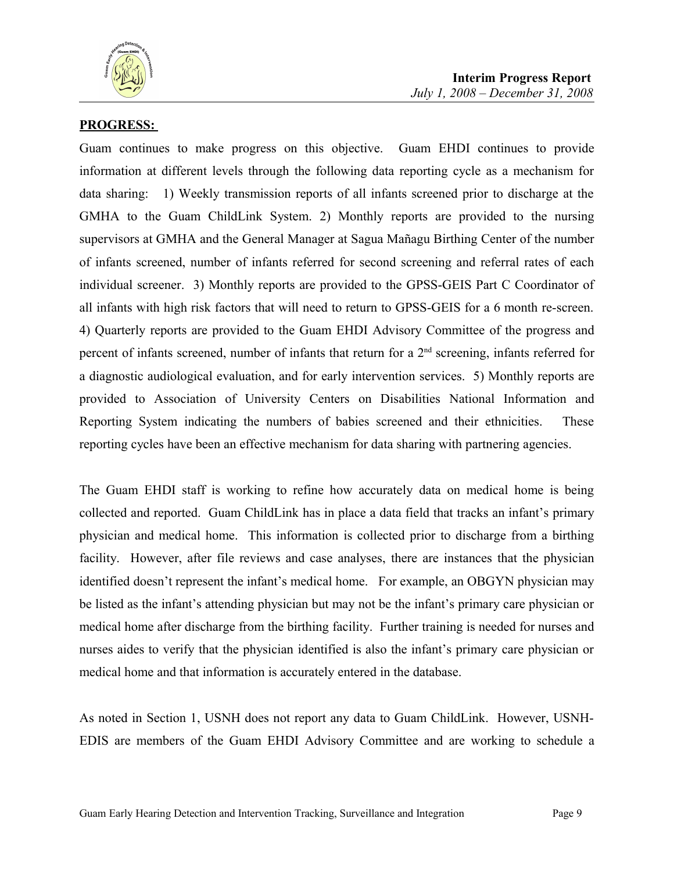

## **PROGRESS:**

Guam continues to make progress on this objective. Guam EHDI continues to provide information at different levels through the following data reporting cycle as a mechanism for data sharing: 1) Weekly transmission reports of all infants screened prior to discharge at the GMHA to the Guam ChildLink System. 2) Monthly reports are provided to the nursing supervisors at GMHA and the General Manager at Sagua Mañagu Birthing Center of the number of infants screened, number of infants referred for second screening and referral rates of each individual screener. 3) Monthly reports are provided to the GPSS-GEIS Part C Coordinator of all infants with high risk factors that will need to return to GPSS-GEIS for a 6 month re-screen. 4) Quarterly reports are provided to the Guam EHDI Advisory Committee of the progress and percent of infants screened, number of infants that return for a 2<sup>nd</sup> screening, infants referred for a diagnostic audiological evaluation, and for early intervention services. 5) Monthly reports are provided to Association of University Centers on Disabilities National Information and Reporting System indicating the numbers of babies screened and their ethnicities. These reporting cycles have been an effective mechanism for data sharing with partnering agencies.

The Guam EHDI staff is working to refine how accurately data on medical home is being collected and reported. Guam ChildLink has in place a data field that tracks an infant's primary physician and medical home. This information is collected prior to discharge from a birthing facility. However, after file reviews and case analyses, there are instances that the physician identified doesn't represent the infant's medical home. For example, an OBGYN physician may be listed as the infant's attending physician but may not be the infant's primary care physician or medical home after discharge from the birthing facility. Further training is needed for nurses and nurses aides to verify that the physician identified is also the infant's primary care physician or medical home and that information is accurately entered in the database.

As noted in Section 1, USNH does not report any data to Guam ChildLink. However, USNH-EDIS are members of the Guam EHDI Advisory Committee and are working to schedule a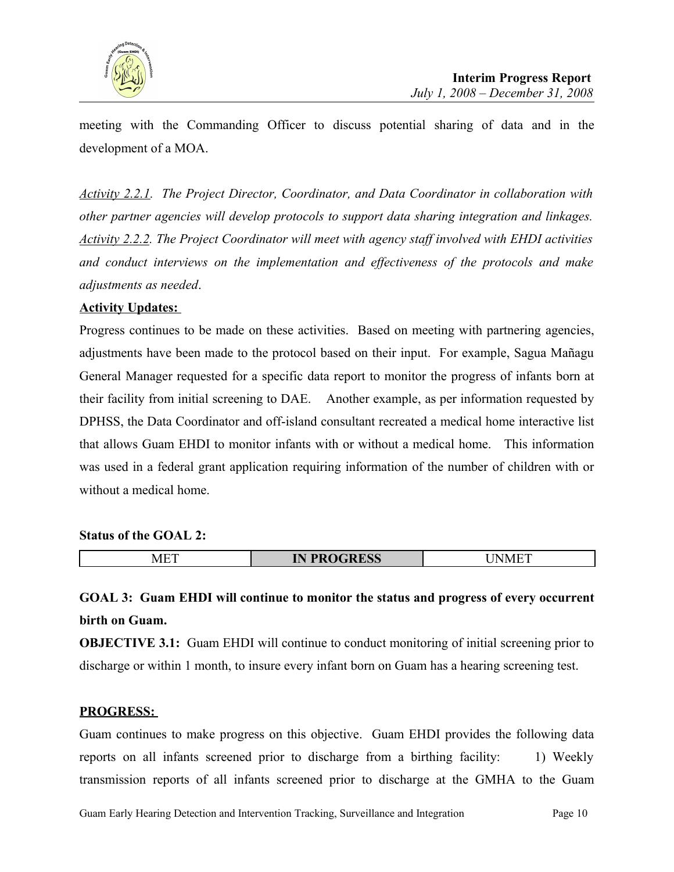

meeting with the Commanding Officer to discuss potential sharing of data and in the development of a MOA.

*Activity 2.2.1. The Project Director, Coordinator, and Data Coordinator in collaboration with other partner agencies will develop protocols to support data sharing integration and linkages. Activity 2.2.2. The Project Coordinator will meet with agency staff involved with EHDI activities and conduct interviews on the implementation and effectiveness of the protocols and make adjustments as needed*.

#### **Activity Updates:**

Progress continues to be made on these activities. Based on meeting with partnering agencies, adjustments have been made to the protocol based on their input. For example, Sagua Mañagu General Manager requested for a specific data report to monitor the progress of infants born at their facility from initial screening to DAE. Another example, as per information requested by DPHSS, the Data Coordinator and off-island consultant recreated a medical home interactive list that allows Guam EHDI to monitor infants with or without a medical home. This information was used in a federal grant application requiring information of the number of children with or without a medical home.

#### **Status of the GOAL 2:**

| $\sqrt{1-\sqrt{1-\frac{1}{2}}}$<br>ℳℙ | DDACDECC<br>īΝ<br>$\mathbf{M}$<br>тĸ<br>UMM |  |
|---------------------------------------|---------------------------------------------|--|

# **GOAL 3: Guam EHDI will continue to monitor the status and progress of every occurrent birth on Guam.**

**OBJECTIVE 3.1:** Guam EHDI will continue to conduct monitoring of initial screening prior to discharge or within 1 month, to insure every infant born on Guam has a hearing screening test.

## **PROGRESS:**

Guam continues to make progress on this objective. Guam EHDI provides the following data reports on all infants screened prior to discharge from a birthing facility: 1) Weekly transmission reports of all infants screened prior to discharge at the GMHA to the Guam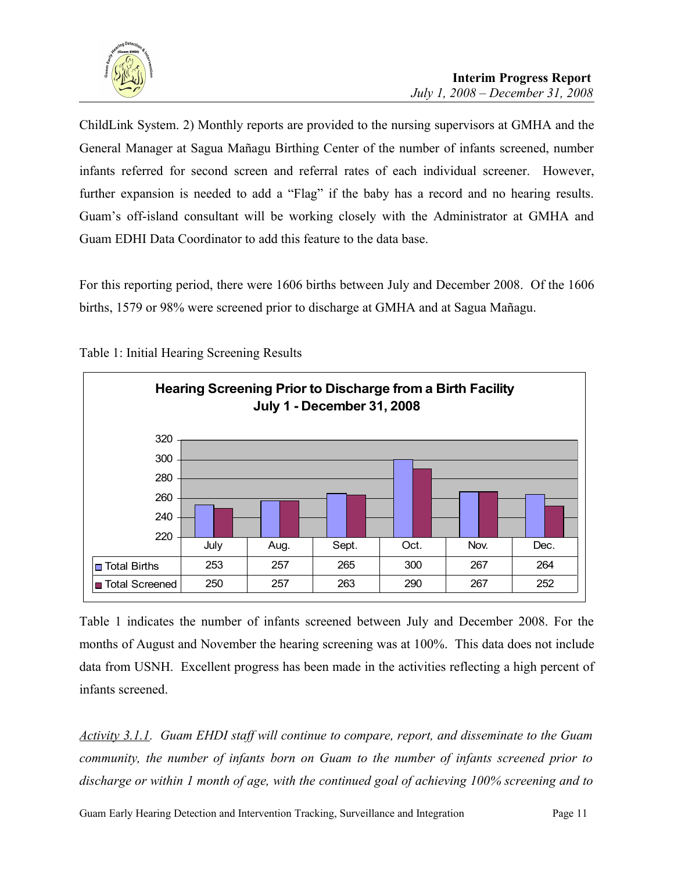

ChildLink System. 2) Monthly reports are provided to the nursing supervisors at GMHA and the General Manager at Sagua Mañagu Birthing Center of the number of infants screened, number infants referred for second screen and referral rates of each individual screener. However, further expansion is needed to add a "Flag" if the baby has a record and no hearing results. Guam's off-island consultant will be working closely with the Administrator at GMHA and Guam EDHI Data Coordinator to add this feature to the data base.

For this reporting period, there were 1606 births between July and December 2008. Of the 1606 births, 1579 or 98% were screened prior to discharge at GMHA and at Sagua Mañagu.



Table 1: Initial Hearing Screening Results

Table 1 indicates the number of infants screened between July and December 2008. For the months of August and November the hearing screening was at 100%. This data does not include data from USNH. Excellent progress has been made in the activities reflecting a high percent of infants screened.

*Activity 3.1.1. Guam EHDI staff will continue to compare, report, and disseminate to the Guam community, the number of infants born on Guam to the number of infants screened prior to discharge or within 1 month of age, with the continued goal of achieving 100% screening and to*

Guam Early Hearing Detection and Intervention Tracking, Surveillance and Integration Page 11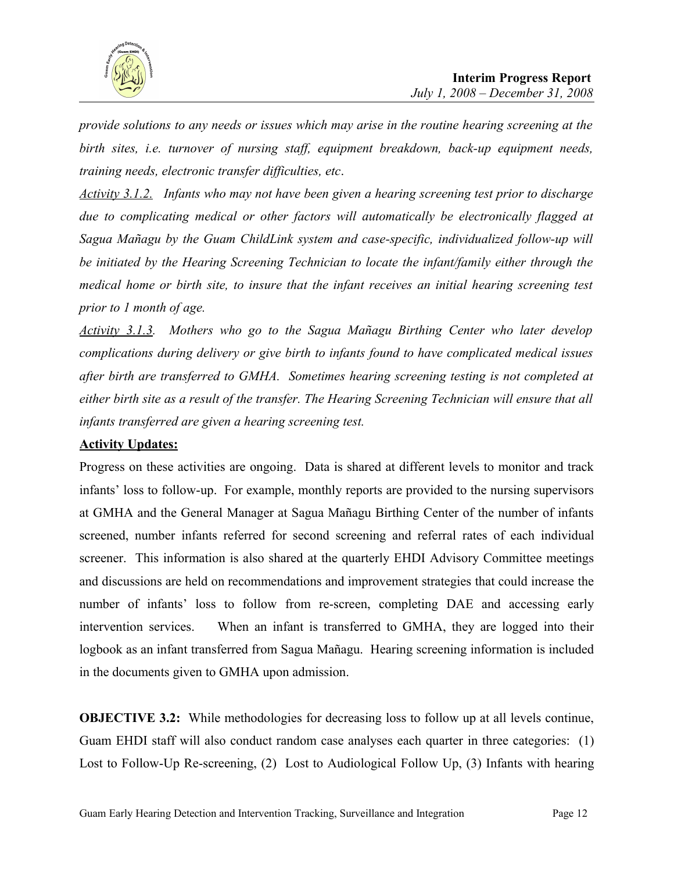

*provide solutions to any needs or issues which may arise in the routine hearing screening at the birth sites, i.e. turnover of nursing staff, equipment breakdown, back-up equipment needs, training needs, electronic transfer difficulties, etc*.

*Activity 3.1.2. Infants who may not have been given a hearing screening test prior to discharge due to complicating medical or other factors will automatically be electronically flagged at Sagua Mañagu by the Guam ChildLink system and case-specific, individualized follow-up will be initiated by the Hearing Screening Technician to locate the infant/family either through the medical home or birth site, to insure that the infant receives an initial hearing screening test prior to 1 month of age.* 

*Activity 3.1.3. Mothers who go to the Sagua Mañagu Birthing Center who later develop complications during delivery or give birth to infants found to have complicated medical issues after birth are transferred to GMHA. Sometimes hearing screening testing is not completed at either birth site as a result of the transfer. The Hearing Screening Technician will ensure that all infants transferred are given a hearing screening test.* 

## **Activity Updates:**

Progress on these activities are ongoing. Data is shared at different levels to monitor and track infants' loss to follow-up. For example, monthly reports are provided to the nursing supervisors at GMHA and the General Manager at Sagua Mañagu Birthing Center of the number of infants screened, number infants referred for second screening and referral rates of each individual screener. This information is also shared at the quarterly EHDI Advisory Committee meetings and discussions are held on recommendations and improvement strategies that could increase the number of infants' loss to follow from re-screen, completing DAE and accessing early intervention services. When an infant is transferred to GMHA, they are logged into their logbook as an infant transferred from Sagua Mañagu. Hearing screening information is included in the documents given to GMHA upon admission.

**OBJECTIVE 3.2:** While methodologies for decreasing loss to follow up at all levels continue, Guam EHDI staff will also conduct random case analyses each quarter in three categories: (1) Lost to Follow-Up Re-screening, (2) Lost to Audiological Follow Up, (3) Infants with hearing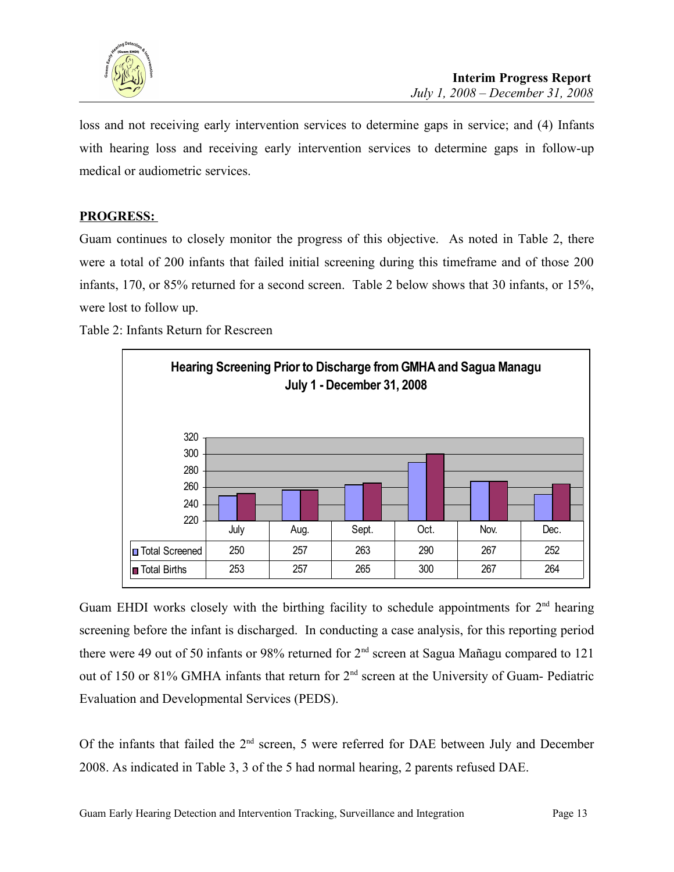

loss and not receiving early intervention services to determine gaps in service; and (4) Infants with hearing loss and receiving early intervention services to determine gaps in follow-up medical or audiometric services.

#### **PROGRESS:**

Guam continues to closely monitor the progress of this objective. As noted in Table 2, there were a total of 200 infants that failed initial screening during this timeframe and of those 200 infants, 170, or 85% returned for a second screen. Table 2 below shows that 30 infants, or 15%, were lost to follow up.

Table 2: Infants Return for Rescreen



Guam EHDI works closely with the birthing facility to schedule appointments for  $2<sup>nd</sup>$  hearing screening before the infant is discharged. In conducting a case analysis, for this reporting period there were 49 out of 50 infants or 98% returned for 2<sup>nd</sup> screen at Sagua Mañagu compared to 121 out of 150 or 81% GMHA infants that return for 2<sup>nd</sup> screen at the University of Guam- Pediatric Evaluation and Developmental Services (PEDS).

Of the infants that failed the 2<sup>nd</sup> screen, 5 were referred for DAE between July and December 2008. As indicated in Table 3, 3 of the 5 had normal hearing, 2 parents refused DAE.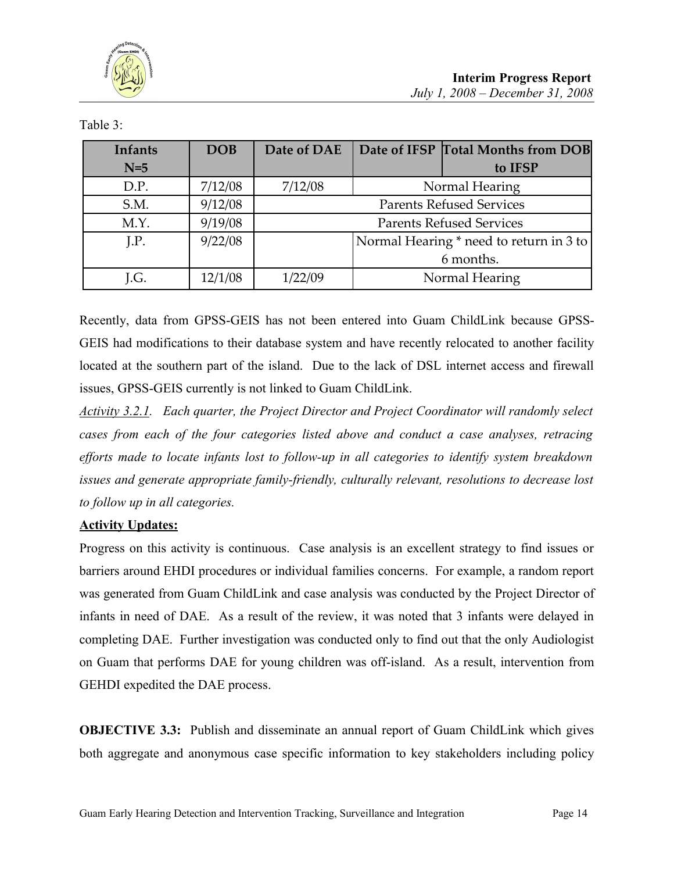

| Infants | <b>DOB</b> | Date of DAE                     |  | Date of IFSP Total Months from DOB      |
|---------|------------|---------------------------------|--|-----------------------------------------|
| $N=5$   |            |                                 |  | to IFSP                                 |
| D.P.    | 7/12/08    | 7/12/08                         |  | Normal Hearing                          |
| S.M.    | 9/12/08    | <b>Parents Refused Services</b> |  |                                         |
| M.Y.    | 9/19/08    | <b>Parents Refused Services</b> |  |                                         |
| I.P.    | 9/22/08    |                                 |  | Normal Hearing * need to return in 3 to |
|         |            |                                 |  | 6 months.                               |
| J.G.    | 12/1/08    | 1/22/09                         |  | Normal Hearing                          |

Recently, data from GPSS-GEIS has not been entered into Guam ChildLink because GPSS-GEIS had modifications to their database system and have recently relocated to another facility located at the southern part of the island. Due to the lack of DSL internet access and firewall issues, GPSS-GEIS currently is not linked to Guam ChildLink.

*Activity 3.2.1. Each quarter, the Project Director and Project Coordinator will randomly select cases from each of the four categories listed above and conduct a case analyses, retracing efforts made to locate infants lost to follow-up in all categories to identify system breakdown issues and generate appropriate family-friendly, culturally relevant, resolutions to decrease lost to follow up in all categories.*

# **Activity Updates:**

Progress on this activity is continuous. Case analysis is an excellent strategy to find issues or barriers around EHDI procedures or individual families concerns. For example, a random report was generated from Guam ChildLink and case analysis was conducted by the Project Director of infants in need of DAE. As a result of the review, it was noted that 3 infants were delayed in completing DAE. Further investigation was conducted only to find out that the only Audiologist on Guam that performs DAE for young children was off-island. As a result, intervention from GEHDI expedited the DAE process.

**OBJECTIVE 3.3:** Publish and disseminate an annual report of Guam ChildLink which gives both aggregate and anonymous case specific information to key stakeholders including policy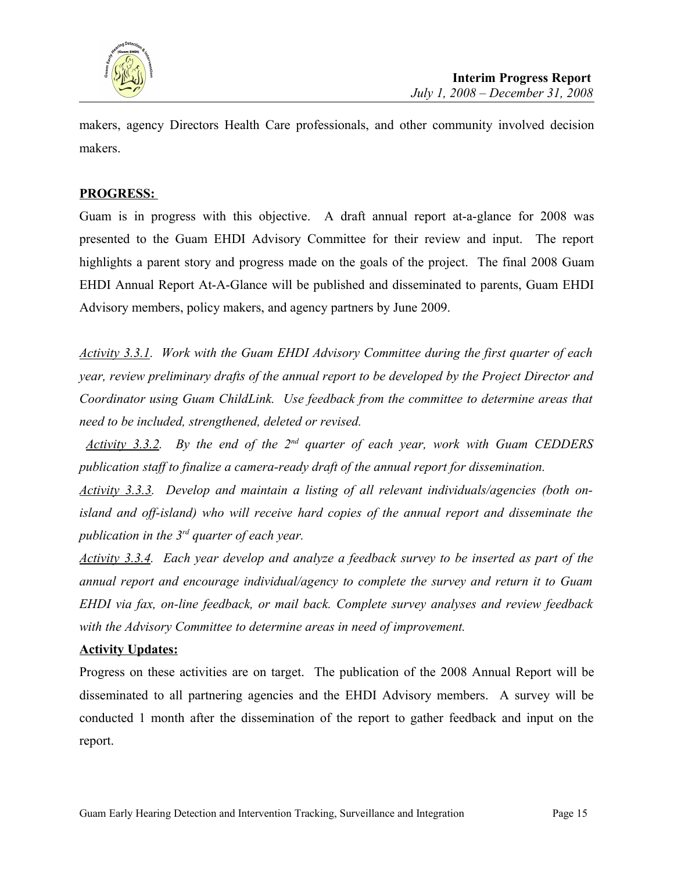

makers, agency Directors Health Care professionals, and other community involved decision makers.

## **PROGRESS:**

Guam is in progress with this objective. A draft annual report at-a-glance for 2008 was presented to the Guam EHDI Advisory Committee for their review and input. The report highlights a parent story and progress made on the goals of the project. The final 2008 Guam EHDI Annual Report At-A-Glance will be published and disseminated to parents, Guam EHDI Advisory members, policy makers, and agency partners by June 2009.

*Activity 3.3.1. Work with the Guam EHDI Advisory Committee during the first quarter of each year, review preliminary drafts of the annual report to be developed by the Project Director and Coordinator using Guam ChildLink. Use feedback from the committee to determine areas that need to be included, strengthened, deleted or revised.* 

*Activity 3.3.2. By the end of the 2nd quarter of each year, work with Guam CEDDERS publication staff to finalize a camera-ready draft of the annual report for dissemination.* 

*Activity 3.3.3. Develop and maintain a listing of all relevant individuals/agencies (both onisland and off-island) who will receive hard copies of the annual report and disseminate the publication in the 3rd quarter of each year.* 

*Activity 3.3.4. Each year develop and analyze a feedback survey to be inserted as part of the annual report and encourage individual/agency to complete the survey and return it to Guam EHDI via fax, on-line feedback, or mail back. Complete survey analyses and review feedback with the Advisory Committee to determine areas in need of improvement.* 

## **Activity Updates:**

Progress on these activities are on target. The publication of the 2008 Annual Report will be disseminated to all partnering agencies and the EHDI Advisory members. A survey will be conducted 1 month after the dissemination of the report to gather feedback and input on the report.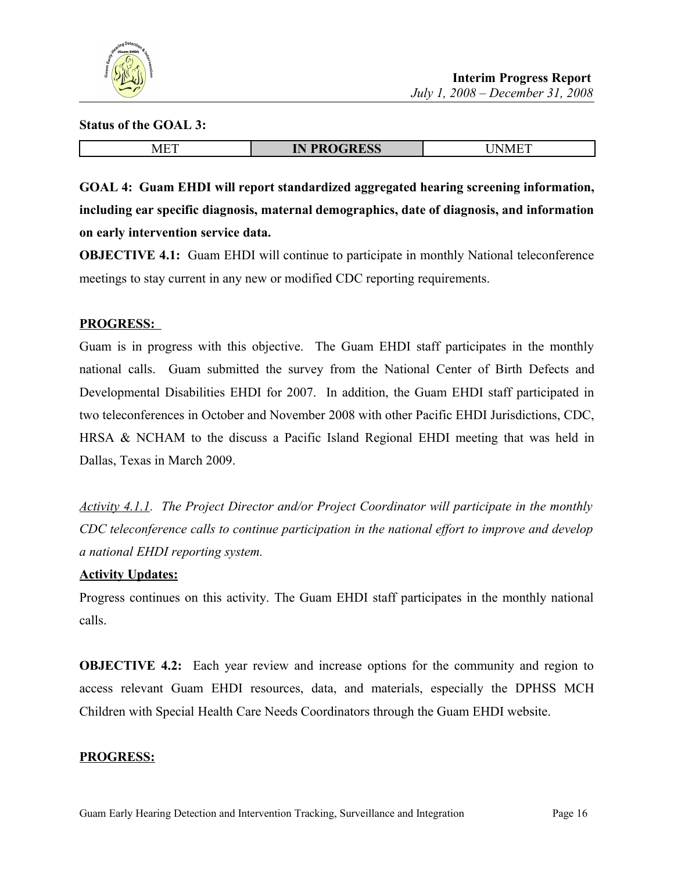

#### **Status of the GOAL 3:**

| <b>PROGRESS</b><br>$\sqrt{1-\sqrt{1-\frac{1}{2}}}$<br>⋀<br>.vI E<br><b>QIATOP</b><br>$\cdot$<br>----<br>_____ | $-$<br>$\sim$ $\sim$<br>N<br>. N <i>A</i> |
|---------------------------------------------------------------------------------------------------------------|-------------------------------------------|
|---------------------------------------------------------------------------------------------------------------|-------------------------------------------|

**GOAL 4: Guam EHDI will report standardized aggregated hearing screening information, including ear specific diagnosis, maternal demographics, date of diagnosis, and information on early intervention service data.**

**OBJECTIVE 4.1:** Guam EHDI will continue to participate in monthly National teleconference meetings to stay current in any new or modified CDC reporting requirements.

#### **PROGRESS:**

Guam is in progress with this objective. The Guam EHDI staff participates in the monthly national calls. Guam submitted the survey from the National Center of Birth Defects and Developmental Disabilities EHDI for 2007. In addition, the Guam EHDI staff participated in two teleconferences in October and November 2008 with other Pacific EHDI Jurisdictions, CDC, HRSA & NCHAM to the discuss a Pacific Island Regional EHDI meeting that was held in Dallas, Texas in March 2009.

*Activity 4.1.1. The Project Director and/or Project Coordinator will participate in the monthly CDC teleconference calls to continue participation in the national effort to improve and develop a national EHDI reporting system.* 

#### **Activity Updates:**

Progress continues on this activity. The Guam EHDI staff participates in the monthly national calls.

**OBJECTIVE 4.2:** Each year review and increase options for the community and region to access relevant Guam EHDI resources, data, and materials, especially the DPHSS MCH Children with Special Health Care Needs Coordinators through the Guam EHDI website.

#### **PROGRESS:**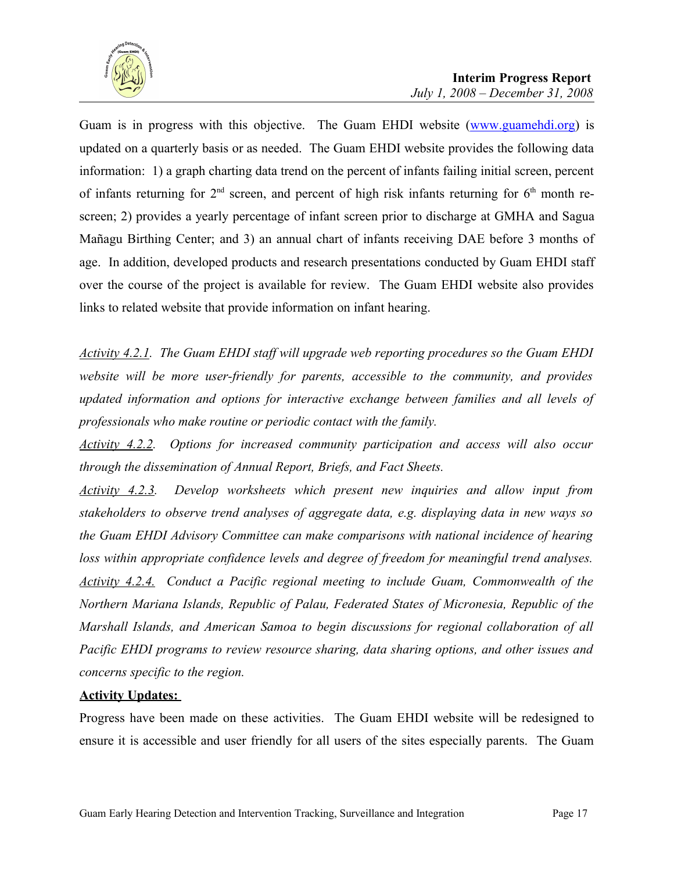

Guam is in progress with this objective. The Guam EHDI website [\(www.guamehdi.org\)](http://www.guamehdi.org/) is updated on a quarterly basis or as needed. The Guam EHDI website provides the following data information: 1) a graph charting data trend on the percent of infants failing initial screen, percent of infants returning for  $2<sup>nd</sup>$  screen, and percent of high risk infants returning for  $6<sup>th</sup>$  month rescreen; 2) provides a yearly percentage of infant screen prior to discharge at GMHA and Sagua Mañagu Birthing Center; and 3) an annual chart of infants receiving DAE before 3 months of age. In addition, developed products and research presentations conducted by Guam EHDI staff over the course of the project is available for review. The Guam EHDI website also provides links to related website that provide information on infant hearing.

*Activity 4.2.1. The Guam EHDI staff will upgrade web reporting procedures so the Guam EHDI website will be more user-friendly for parents, accessible to the community, and provides updated information and options for interactive exchange between families and all levels of professionals who make routine or periodic contact with the family.* 

*Activity 4.2.2. Options for increased community participation and access will also occur through the dissemination of Annual Report, Briefs, and Fact Sheets.* 

*Activity 4.2.3. Develop worksheets which present new inquiries and allow input from stakeholders to observe trend analyses of aggregate data, e.g. displaying data in new ways so the Guam EHDI Advisory Committee can make comparisons with national incidence of hearing loss within appropriate confidence levels and degree of freedom for meaningful trend analyses. Activity 4.2.4. Conduct a Pacific regional meeting to include Guam, Commonwealth of the Northern Mariana Islands, Republic of Palau, Federated States of Micronesia, Republic of the Marshall Islands, and American Samoa to begin discussions for regional collaboration of all Pacific EHDI programs to review resource sharing, data sharing options, and other issues and concerns specific to the region.*

## **Activity Updates:**

Progress have been made on these activities. The Guam EHDI website will be redesigned to ensure it is accessible and user friendly for all users of the sites especially parents. The Guam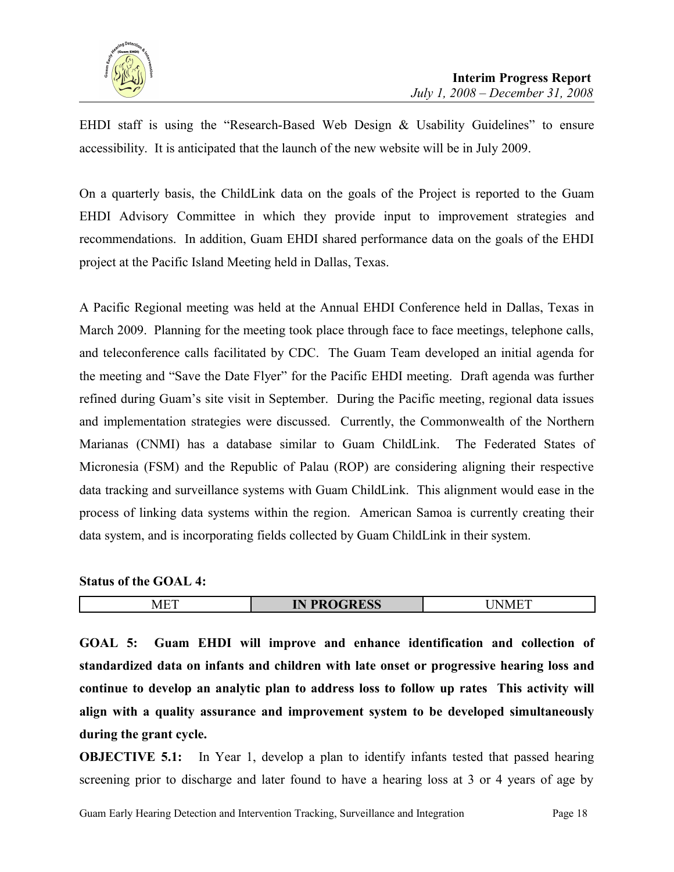

EHDI staff is using the "Research-Based Web Design & Usability Guidelines" to ensure accessibility. It is anticipated that the launch of the new website will be in July 2009.

On a quarterly basis, the ChildLink data on the goals of the Project is reported to the Guam EHDI Advisory Committee in which they provide input to improvement strategies and recommendations. In addition, Guam EHDI shared performance data on the goals of the EHDI project at the Pacific Island Meeting held in Dallas, Texas.

A Pacific Regional meeting was held at the Annual EHDI Conference held in Dallas, Texas in March 2009. Planning for the meeting took place through face to face meetings, telephone calls, and teleconference calls facilitated by CDC. The Guam Team developed an initial agenda for the meeting and "Save the Date Flyer" for the Pacific EHDI meeting. Draft agenda was further refined during Guam's site visit in September. During the Pacific meeting, regional data issues and implementation strategies were discussed. Currently, the Commonwealth of the Northern Marianas (CNMI) has a database similar to Guam ChildLink. The Federated States of Micronesia (FSM) and the Republic of Palau (ROP) are considering aligning their respective data tracking and surveillance systems with Guam ChildLink. This alignment would ease in the process of linking data systems within the region. American Samoa is currently creating their data system, and is incorporating fields collected by Guam ChildLink in their system.

#### **Status of the GOAL 4:**

**GOAL 5: Guam EHDI will improve and enhance identification and collection of standardized data on infants and children with late onset or progressive hearing loss and continue to develop an analytic plan to address loss to follow up rates This activity will align with a quality assurance and improvement system to be developed simultaneously during the grant cycle.**

**OBJECTIVE 5.1:** In Year 1, develop a plan to identify infants tested that passed hearing screening prior to discharge and later found to have a hearing loss at 3 or 4 years of age by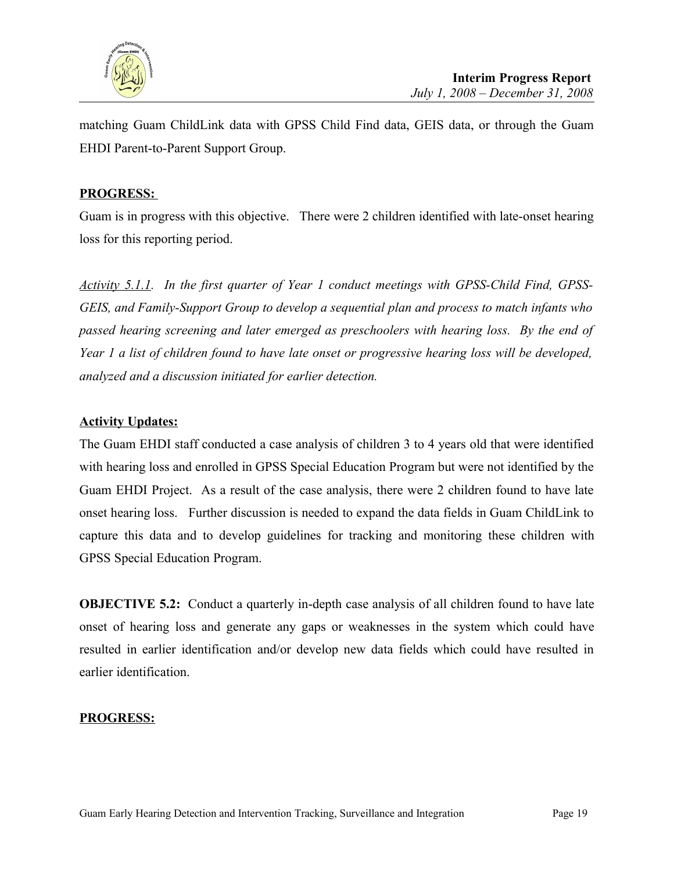

matching Guam ChildLink data with GPSS Child Find data, GEIS data, or through the Guam EHDI Parent-to-Parent Support Group.

## **PROGRESS:**

Guam is in progress with this objective. There were 2 children identified with late-onset hearing loss for this reporting period.

*Activity 5.1.1. In the first quarter of Year 1 conduct meetings with GPSS-Child Find, GPSS-GEIS, and Family-Support Group to develop a sequential plan and process to match infants who passed hearing screening and later emerged as preschoolers with hearing loss. By the end of Year 1 a list of children found to have late onset or progressive hearing loss will be developed, analyzed and a discussion initiated for earlier detection.* 

## **Activity Updates:**

The Guam EHDI staff conducted a case analysis of children 3 to 4 years old that were identified with hearing loss and enrolled in GPSS Special Education Program but were not identified by the Guam EHDI Project. As a result of the case analysis, there were 2 children found to have late onset hearing loss. Further discussion is needed to expand the data fields in Guam ChildLink to capture this data and to develop guidelines for tracking and monitoring these children with GPSS Special Education Program.

**OBJECTIVE 5.2:** Conduct a quarterly in-depth case analysis of all children found to have late onset of hearing loss and generate any gaps or weaknesses in the system which could have resulted in earlier identification and/or develop new data fields which could have resulted in earlier identification.

## **PROGRESS:**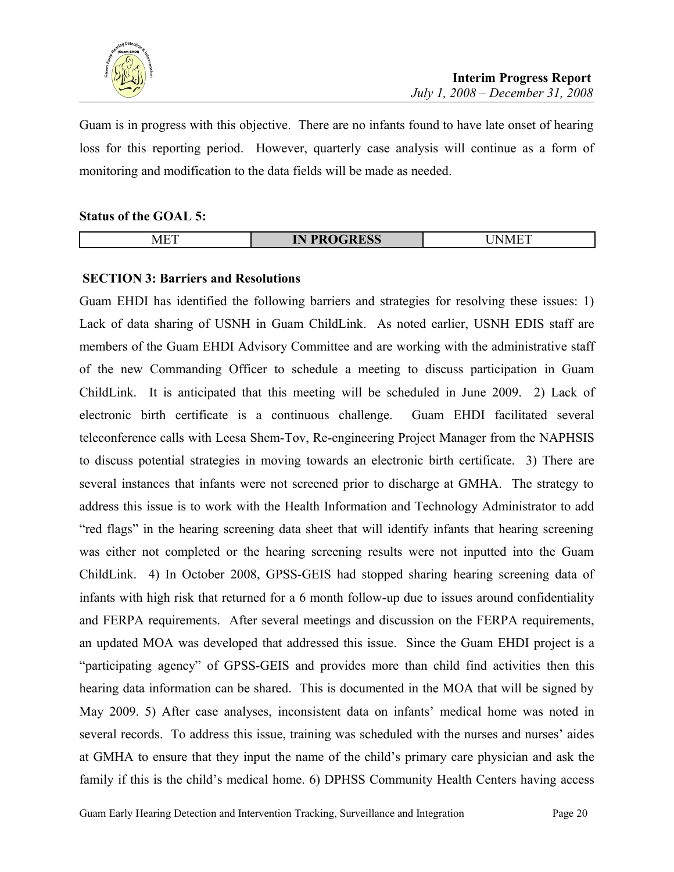

Guam is in progress with this objective. There are no infants found to have late onset of hearing loss for this reporting period. However, quarterly case analysis will continue as a form of monitoring and modification to the data fields will be made as needed.

#### **Status of the GOAL 5:**

| $\frac{1}{2}$<br>$- -$ |  |
|------------------------|--|

#### **SECTION 3: Barriers and Resolutions**

Guam EHDI has identified the following barriers and strategies for resolving these issues: 1) Lack of data sharing of USNH in Guam ChildLink. As noted earlier, USNH EDIS staff are members of the Guam EHDI Advisory Committee and are working with the administrative staff of the new Commanding Officer to schedule a meeting to discuss participation in Guam ChildLink. It is anticipated that this meeting will be scheduled in June 2009. 2) Lack of electronic birth certificate is a continuous challenge. Guam EHDI facilitated several teleconference calls with Leesa Shem-Tov, Re-engineering Project Manager from the NAPHSIS to discuss potential strategies in moving towards an electronic birth certificate. 3) There are several instances that infants were not screened prior to discharge at GMHA. The strategy to address this issue is to work with the Health Information and Technology Administrator to add "red flags" in the hearing screening data sheet that will identify infants that hearing screening was either not completed or the hearing screening results were not inputted into the Guam ChildLink. 4) In October 2008, GPSS-GEIS had stopped sharing hearing screening data of infants with high risk that returned for a 6 month follow-up due to issues around confidentiality and FERPA requirements. After several meetings and discussion on the FERPA requirements, an updated MOA was developed that addressed this issue. Since the Guam EHDI project is a "participating agency" of GPSS-GEIS and provides more than child find activities then this hearing data information can be shared. This is documented in the MOA that will be signed by May 2009. 5) After case analyses, inconsistent data on infants' medical home was noted in several records. To address this issue, training was scheduled with the nurses and nurses' aides at GMHA to ensure that they input the name of the child's primary care physician and ask the family if this is the child's medical home. 6) DPHSS Community Health Centers having access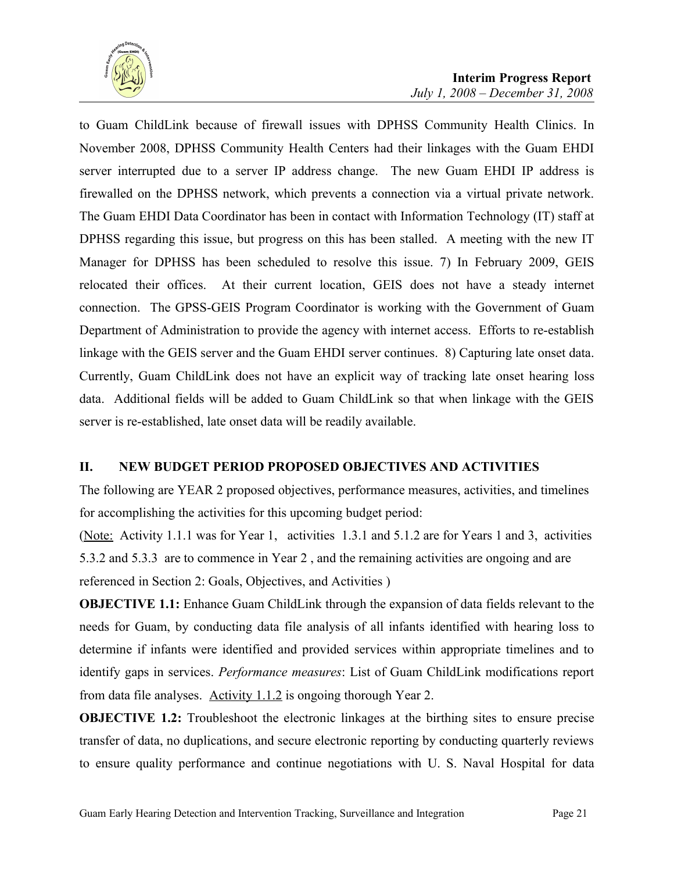

to Guam ChildLink because of firewall issues with DPHSS Community Health Clinics. In November 2008, DPHSS Community Health Centers had their linkages with the Guam EHDI server interrupted due to a server IP address change. The new Guam EHDI IP address is firewalled on the DPHSS network, which prevents a connection via a virtual private network. The Guam EHDI Data Coordinator has been in contact with Information Technology (IT) staff at DPHSS regarding this issue, but progress on this has been stalled. A meeting with the new IT Manager for DPHSS has been scheduled to resolve this issue. 7) In February 2009, GEIS relocated their offices. At their current location, GEIS does not have a steady internet connection. The GPSS-GEIS Program Coordinator is working with the Government of Guam Department of Administration to provide the agency with internet access. Efforts to re-establish linkage with the GEIS server and the Guam EHDI server continues. 8) Capturing late onset data. Currently, Guam ChildLink does not have an explicit way of tracking late onset hearing loss data. Additional fields will be added to Guam ChildLink so that when linkage with the GEIS server is re-established, late onset data will be readily available.

# **II. NEW BUDGET PERIOD PROPOSED OBJECTIVES AND ACTIVITIES**

The following are YEAR 2 proposed objectives, performance measures, activities, and timelines for accomplishing the activities for this upcoming budget period:

(Note: Activity 1.1.1 was for Year 1, activities 1.3.1 and 5.1.2 are for Years 1 and 3, activities 5.3.2 and 5.3.3 are to commence in Year 2 , and the remaining activities are ongoing and are referenced in Section 2: Goals, Objectives, and Activities )

**OBJECTIVE 1.1:** Enhance Guam ChildLink through the expansion of data fields relevant to the needs for Guam, by conducting data file analysis of all infants identified with hearing loss to determine if infants were identified and provided services within appropriate timelines and to identify gaps in services. *Performance measures*: List of Guam ChildLink modifications report from data file analyses. Activity 1.1.2 is ongoing thorough Year 2.

**OBJECTIVE 1.2:** Troubleshoot the electronic linkages at the birthing sites to ensure precise transfer of data, no duplications, and secure electronic reporting by conducting quarterly reviews to ensure quality performance and continue negotiations with U. S. Naval Hospital for data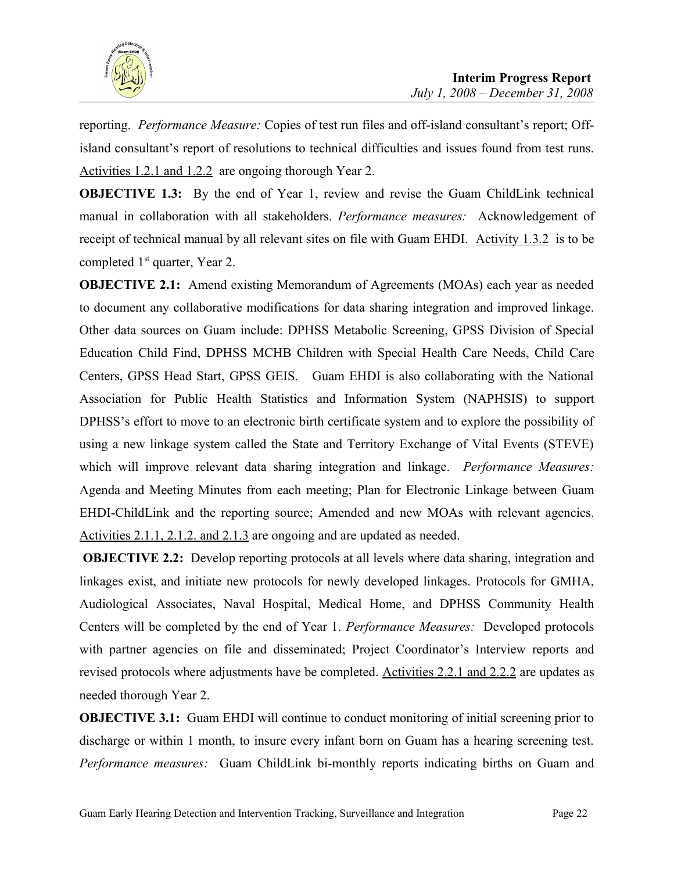

reporting. *Performance Measure:* Copies of test run files and off-island consultant's report; Offisland consultant's report of resolutions to technical difficulties and issues found from test runs. Activities 1.2.1 and 1.2.2 are ongoing thorough Year 2.

**OBJECTIVE 1.3:** By the end of Year 1, review and revise the Guam ChildLink technical manual in collaboration with all stakeholders. *Performance measures:* Acknowledgement of receipt of technical manual by all relevant sites on file with Guam EHDI. Activity 1.3.2 is to be completed 1<sup>st</sup> quarter, Year 2.

**OBJECTIVE 2.1:** Amend existing Memorandum of Agreements (MOAs) each year as needed to document any collaborative modifications for data sharing integration and improved linkage. Other data sources on Guam include: DPHSS Metabolic Screening, GPSS Division of Special Education Child Find, DPHSS MCHB Children with Special Health Care Needs, Child Care Centers, GPSS Head Start, GPSS GEIS. Guam EHDI is also collaborating with the National Association for Public Health Statistics and Information System (NAPHSIS) to support DPHSS's effort to move to an electronic birth certificate system and to explore the possibility of using a new linkage system called the State and Territory Exchange of Vital Events (STEVE) which will improve relevant data sharing integration and linkage. *Performance Measures:* Agenda and Meeting Minutes from each meeting; Plan for Electronic Linkage between Guam EHDI-ChildLink and the reporting source; Amended and new MOAs with relevant agencies. Activities 2.1.1, 2.1.2. and 2.1.3 are ongoing and are updated as needed.

**OBJECTIVE 2.2:** Develop reporting protocols at all levels where data sharing, integration and linkages exist, and initiate new protocols for newly developed linkages. Protocols for GMHA, Audiological Associates, Naval Hospital, Medical Home, and DPHSS Community Health Centers will be completed by the end of Year 1. *Performance Measures:* Developed protocols with partner agencies on file and disseminated; Project Coordinator's Interview reports and revised protocols where adjustments have be completed. Activities 2.2.1 and 2.2.2 are updates as needed thorough Year 2.

**OBJECTIVE 3.1:** Guam EHDI will continue to conduct monitoring of initial screening prior to discharge or within 1 month, to insure every infant born on Guam has a hearing screening test. *Performance measures:* Guam ChildLink bi-monthly reports indicating births on Guam and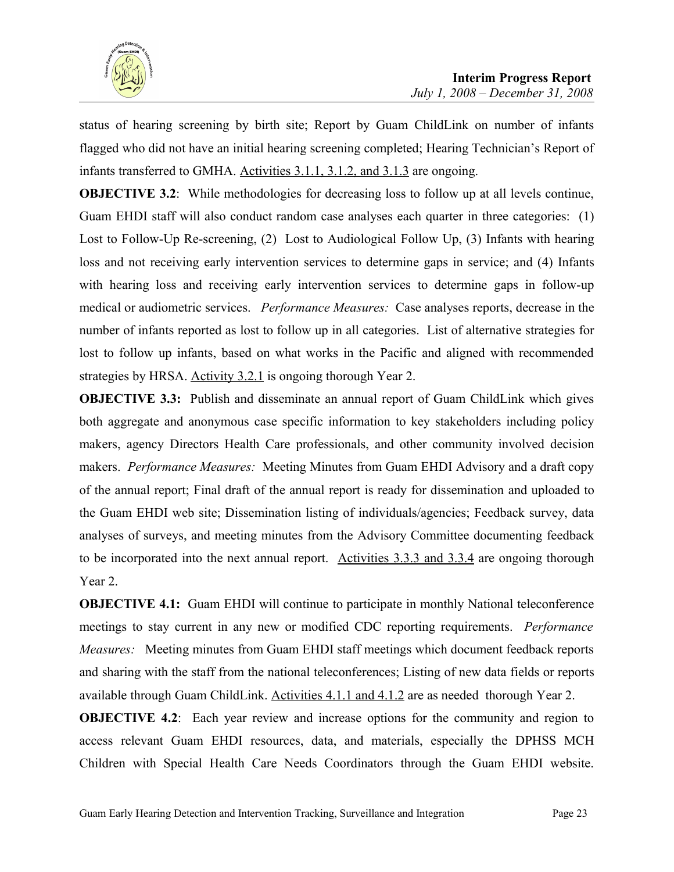

status of hearing screening by birth site; Report by Guam ChildLink on number of infants flagged who did not have an initial hearing screening completed; Hearing Technician's Report of infants transferred to GMHA. Activities 3.1.1, 3.1.2, and 3.1.3 are ongoing.

**OBJECTIVE 3.2:** While methodologies for decreasing loss to follow up at all levels continue, Guam EHDI staff will also conduct random case analyses each quarter in three categories: (1) Lost to Follow-Up Re-screening, (2) Lost to Audiological Follow Up, (3) Infants with hearing loss and not receiving early intervention services to determine gaps in service; and (4) Infants with hearing loss and receiving early intervention services to determine gaps in follow-up medical or audiometric services. *Performance Measures:* Case analyses reports, decrease in the number of infants reported as lost to follow up in all categories. List of alternative strategies for lost to follow up infants, based on what works in the Pacific and aligned with recommended strategies by HRSA. Activity 3.2.1 is ongoing thorough Year 2.

**OBJECTIVE 3.3:** Publish and disseminate an annual report of Guam ChildLink which gives both aggregate and anonymous case specific information to key stakeholders including policy makers, agency Directors Health Care professionals, and other community involved decision makers. *Performance Measures:* Meeting Minutes from Guam EHDI Advisory and a draft copy of the annual report; Final draft of the annual report is ready for dissemination and uploaded to the Guam EHDI web site; Dissemination listing of individuals/agencies; Feedback survey, data analyses of surveys, and meeting minutes from the Advisory Committee documenting feedback to be incorporated into the next annual report. Activities 3.3.3 and 3.3.4 are ongoing thorough Year 2.

**OBJECTIVE 4.1:** Guam EHDI will continue to participate in monthly National teleconference meetings to stay current in any new or modified CDC reporting requirements. *Performance Measures:* Meeting minutes from Guam EHDI staff meetings which document feedback reports and sharing with the staff from the national teleconferences; Listing of new data fields or reports available through Guam ChildLink. Activities 4.1.1 and 4.1.2 are as needed thorough Year 2.

**OBJECTIVE 4.2**: Each year review and increase options for the community and region to access relevant Guam EHDI resources, data, and materials, especially the DPHSS MCH Children with Special Health Care Needs Coordinators through the Guam EHDI website.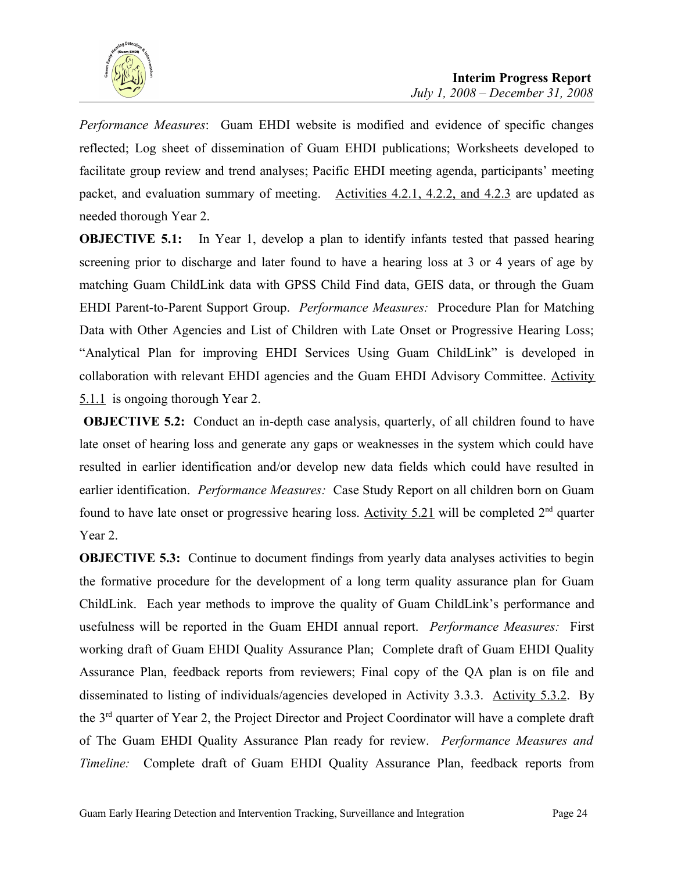

*Performance Measures*: Guam EHDI website is modified and evidence of specific changes reflected; Log sheet of dissemination of Guam EHDI publications; Worksheets developed to facilitate group review and trend analyses; Pacific EHDI meeting agenda, participants' meeting packet, and evaluation summary of meeting. Activities 4.2.1, 4.2.2, and 4.2.3 are updated as needed thorough Year 2.

**OBJECTIVE 5.1:** In Year 1, develop a plan to identify infants tested that passed hearing screening prior to discharge and later found to have a hearing loss at 3 or 4 years of age by matching Guam ChildLink data with GPSS Child Find data, GEIS data, or through the Guam EHDI Parent-to-Parent Support Group. *Performance Measures:* Procedure Plan for Matching Data with Other Agencies and List of Children with Late Onset or Progressive Hearing Loss; "Analytical Plan for improving EHDI Services Using Guam ChildLink" is developed in collaboration with relevant EHDI agencies and the Guam EHDI Advisory Committee. Activity 5.1.1 is ongoing thorough Year 2.

**OBJECTIVE 5.2:** Conduct an in-depth case analysis, quarterly, of all children found to have late onset of hearing loss and generate any gaps or weaknesses in the system which could have resulted in earlier identification and/or develop new data fields which could have resulted in earlier identification. *Performance Measures:* Case Study Report on all children born on Guam found to have late onset or progressive hearing loss. Activity 5.21 will be completed  $2<sup>nd</sup>$  quarter Year 2.

**OBJECTIVE 5.3:** Continue to document findings from yearly data analyses activities to begin the formative procedure for the development of a long term quality assurance plan for Guam ChildLink. Each year methods to improve the quality of Guam ChildLink's performance and usefulness will be reported in the Guam EHDI annual report. *Performance Measures:* First working draft of Guam EHDI Quality Assurance Plan; Complete draft of Guam EHDI Quality Assurance Plan, feedback reports from reviewers; Final copy of the QA plan is on file and disseminated to listing of individuals/agencies developed in Activity 3.3.3. Activity 5.3.2. By the 3rd quarter of Year 2, the Project Director and Project Coordinator will have a complete draft of The Guam EHDI Quality Assurance Plan ready for review. *Performance Measures and Timeline:* Complete draft of Guam EHDI Quality Assurance Plan, feedback reports from